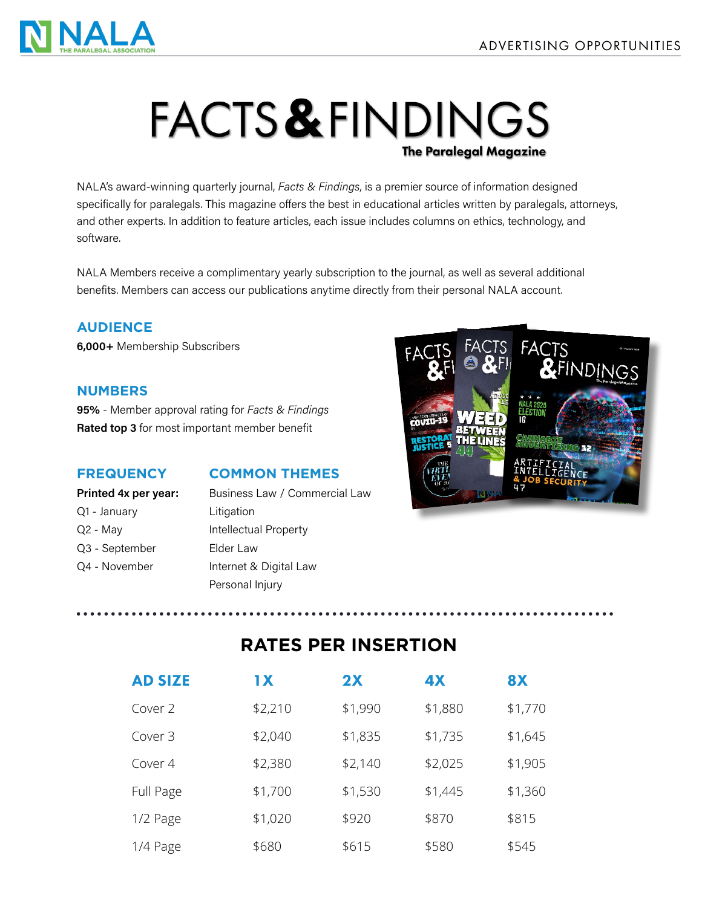

# **FACTS & FINDINGS** The Paralegal Magazine

NALA's award-winning quarterly journal, *Facts & Findings*, is a premier source of information designed specifically for paralegals. This magazine offers the best in educational articles written by paralegals, attorneys, and other experts. In addition to feature articles, each issue includes columns on ethics, technology, and software.

NALA Members receive a complimentary yearly subscription to the journal, as well as several additional benefits. Members can access our publications anytime directly from their personal NALA account.

#### **AUDIENCE**

**6,000+** Membership Subscribers

#### **NUMBERS**

**95%** - Member approval rating for *Facts & Findings* **Rated top 3** for most important member benefit

#### **FREQUENCY**

#### **COMMON THEMES**

| Printed 4x per year: | Bus              |
|----------------------|------------------|
| Q1 - January         | Litig            |
| $Q2 - May$           | Inte             |
| Q3 - September       | Eld <sub>6</sub> |
| Q4 - November        | Inte             |
|                      |                  |

Business Law / Commercial Law gation **Ilectual Property** er Law Irnet & Digital Law Personal Injury



### **RATES PER INSERTION**

| <b>AD SIZE</b> | 1 X     | 2X      | <b>4X</b> | <b>8X</b> |
|----------------|---------|---------|-----------|-----------|
| Cover 2        | \$2,210 | \$1,990 | \$1,880   | \$1,770   |
| Cover 3        | \$2,040 | \$1,835 | \$1,735   | \$1,645   |
| Cover 4        | \$2,380 | \$2,140 | \$2,025   | \$1,905   |
| Full Page      | \$1,700 | \$1,530 | \$1,445   | \$1,360   |
| 1/2 Page       | \$1,020 | \$920   | \$870     | \$815     |
| 1/4 Page       | \$680   | \$615   | \$580     | \$545     |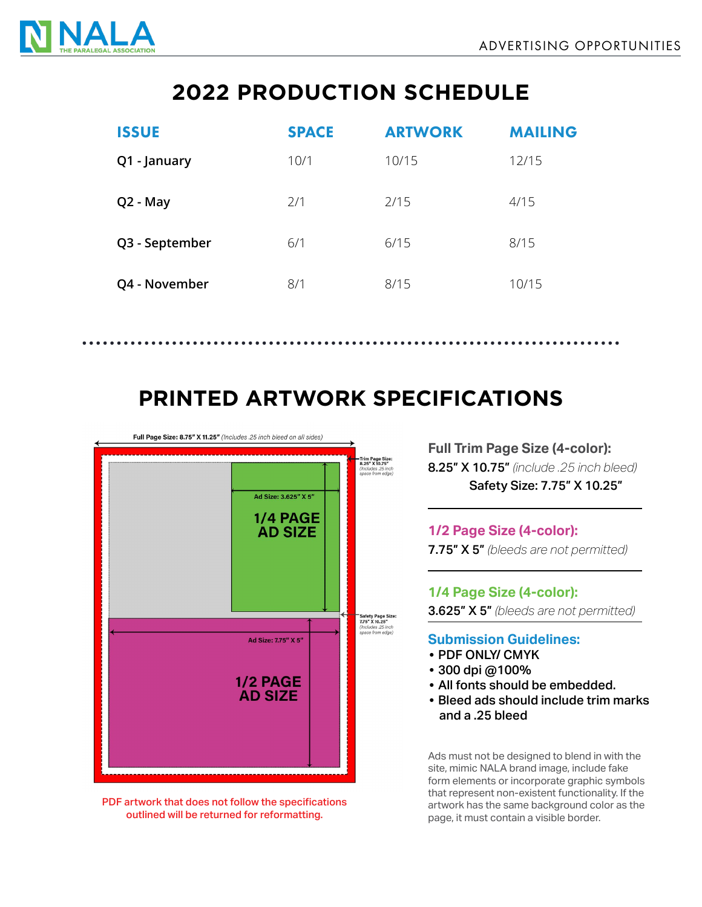

## **2022 PRODUCTION SCHEDULE**

| <b>ISSUE</b>   | <b>SPACE</b> | <b>ARTWORK</b> | <b>MAILING</b> |
|----------------|--------------|----------------|----------------|
| Q1 - January   | 10/1         | 10/15          | 12/15          |
| Q2 - May       | 2/1          | 2/15           | 4/15           |
| Q3 - September | 6/1          | 6/15           | 8/15           |
| Q4 - November  | 8/1          | 8/15           | 10/15          |

### **PRINTED ARTWORK SPECIFICATIONS**



PDF artwork that does not follow the specifications outlined will be returned for reformatting.

**Full Trim Page Size (4-color):** 8.25" X 10.75" *(include .25 inch bleed)* Safety Size: 7.75" X 10.25"

**1/2 Page Size (4-color):** 7.75" X 5" *(bleeds are not permitted)*

**1/4 Page Size (4-color):** 3.625" X 5" *(bleeds are not permitted)*

- **Submission Guidelines:**
- PDF ONLY/ CMYK
- 300 dpi @100%
- All fonts should be embedded.
- Bleed ads should include trim marks and a .25 bleed

Ads must not be designed to blend in with the site, mimic NALA brand image, include fake form elements or incorporate graphic symbols that represent non-existent functionality. If the artwork has the same background color as the page, it must contain a visible border.